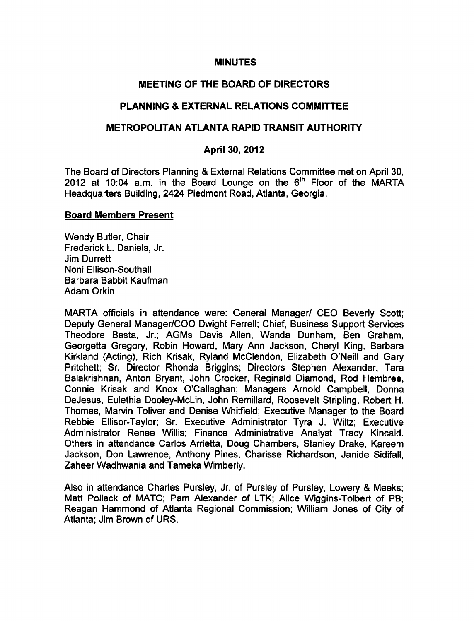#### **MINUTES**

# MEETING OF THE BOARD OF DIRECTORS

### PLANNING & EXTERNAL RELATIONS COMMITTEE

#### METROPOLITAN ATLANTA RAPID TRANSIT AUTHORITY

#### April 30, 2012

The Board of Directors Planning & External Relations Committee met on April 30, 2012 at 10:04 a.m. in the Board Lounge on the  $6<sup>th</sup>$  Floor of the MARTA Headquarters Building, 2424 Piedmont Road, Atlanta, Georgia.

#### Board Members Present

Wendy Butler, Chair Frederick L. Daniels, Jr. Jim Durrett Noni Ellison-Southall Barbara Babbit Kaufman Adam Orkin

MARTA officials in attendance were: General Manager/ CEO Beverly Scott; Deputy General Manager/COO Dwight Ferrell; Chief, Business Support Services Theodore Basta, Jr.; AGMs Davis Allen, Wanda Dunham, Ben Graham, Georgetta Gregory, Robin Howard, Mary Ann Jackson, Cheryl King, Barbara Kirkland (Acting), Rich Krisak, Ryland McClendon, Elizabeth O'Neill and Gary Pritchett; Sr. Director Rhonda Briggins; Directors Stephen Alexander, Tara Balakrishnan, Anton Bryant, John Crocker, Reginald Diamond, Rod Hembree, Connie Krisak and Knox O'Callaghan; Managers Arnold Campbell, Donna DeJesus, Eulethia Dooley-McLin, John Remillard, Roosevelt Stripling, Robert H. Thomas, Marvin Toliver and Denise Whitfield; Executive Manager to the Board Rebbie Ellisor-Taylor; Sr. Executive Administrator Tyra J. Wiltz; Executive Administrator Renee Willis; Finance Administrative Analyst Tracy Kincaid. Others in attendance Carlos Arrietta, Doug Chambers, Stanley Drake, Kareem Jackson, Don Lawrence, Anthony Pines, Charisse Richardson, Janide Sidifall, Zaheer Wadhwania and Tameka Wimberly.

Also in attendance Charles Pursley, Jr. of Pursley of Pursley, Lowery & Meeks; Matt Pollack of MATC; Pam Alexander of LTK; Alice Wiggins-Tolbert of PB; Reagan Hammond of Atlanta Regional Commission; William Jones of City of Atlanta; Jim Brown of URS.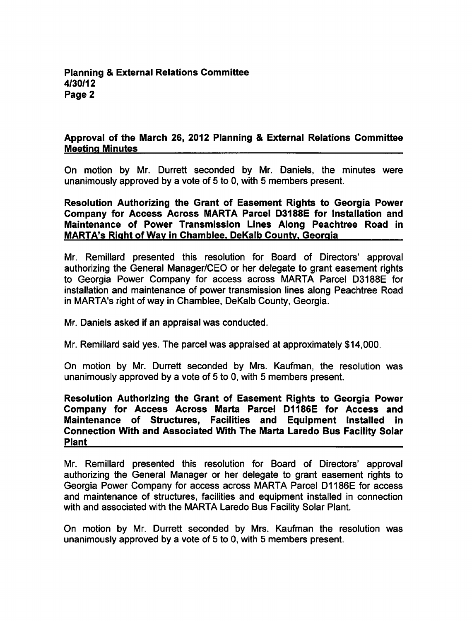### **Planning & External Relations Committee** 4/30/12 Page 2

#### Approval of the March 26, 2012 Planning & External Relations Committee Meeting Minutes

On motion by Mr. Durrett seconded by Mr. Daniels, the minutes were unanimously approved by a vote of  $5$  to 0, with  $5$  members present.

Resolution Authorizing the Grant of Easement Rights to Georgia Power Company for Access Across MARTA Parcel D3188E for Installation and Maintenance of Power Transmission Lines Along Peachtree Road in MARTA's Right of Way in Chamblee. DeKalb County. Georgia

Mr. Remillard presented this resolution for Board of Directors' approval authorizing the General Manager/CEO or her delegate to grant easement rights to Georgia Power Company for access across MARTA Parcel D3188E for installation and maintenance of power transmission lines along Peachtree Road in MARTA's right of way in Chamblee, DeKalb County, Georgia.

Mr. Daniels asked if an appraisal was conducted.

Mr. Remillard said yes. The parcel was appraised at approximately \$14,000.

On motion by Mr. Durrett seconded by Mrs. Kaufman, the resolution was unanimously approved by a vote of 5 to 0, with 5 members present.

Resolution Authorizing the Grant of Easement Rights to Georgia Power Company for Access Across Marta Parcel D1186E for Access and Maintenance of Structures, Facilities and Equipment Installed in Connection With and Associated With The Marta Laredo Bus Facility Solar Plant

Mr. Remillard presented this resolution for Board of Directors' approval authorizing the General Manager or her delegate to grant easement rights to Georgia Power Company for access across MARTA Parcel D1186E for access and maintenance of structures, facilities and equipment installed in connection with and associated with the MARTA Laredo Bus Facility Solar Plant.

On motion by Mr. Durrett seconded by Mrs. Kaufman the resolution was unanimously approved by a vote of 5 to 0, with 5 members present.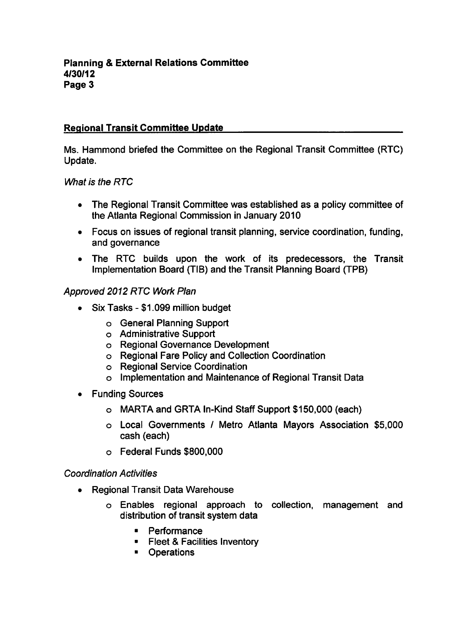# Regional Transit Committee Update

Ms. Hammond briefed the Committee on the Regional Transit Committee (RTC) Update.

What is the RTC

- The Regional Transit Committee was established as a policy committee of the Atlanta Regional Commission in January 2010
- Focus on issues of regional transit planning, service coordination, funding, and governance
- The RTC builds upon the work of its predecessors, the Transit Implementation Board (TIB) and the Transit Planning Board (TPB)

### Approved 2012 RTC Work Plan

- $\bullet$  Six Tasks \$1.099 million budget
	- General Planning Support
	- Administrative Support
	- Regional Governance Development
	- Regional Fare Policy and Collection Coordination
	- Regional Service Coordination
	- Implementation and Maintenance of Regional Transit Data
- Funding Sources
	- MARTA and GRTA In-Kind Staff Support \$150,000 (each)
	- o Local Governments / Metro Atlanta Mayors Association \$5,000 cash (each)
	- Federal Funds \$800,000

### Coordination Activities

- Regional Transit Data Warehouse  $\bullet$ 
	- Enables regional approach to collection, management and distribution of transit system data
		- Performance
		- **Fileet & Facilities Inventory**
		- **•** Operations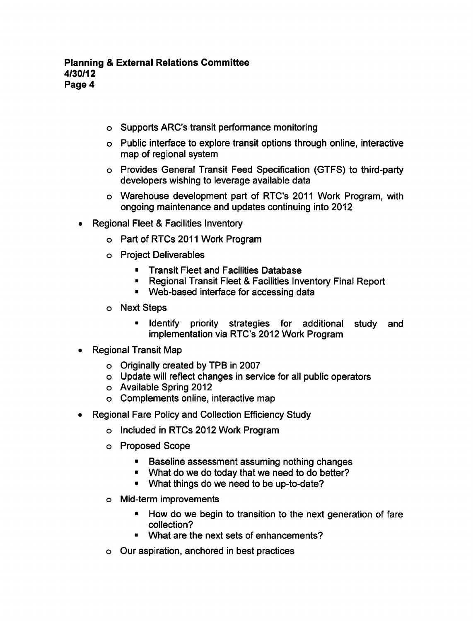- Supports ARC's transit performance monitoring
- Public interface to explore transit options through online, interactive map of regional system
- Provides General Transit Feed Specification (GTFS) to third-party developers wishing to leverage available data
- Warehouse development part of RTC's 2011 Work Program, with ongoing maintenance and updates continuing into 2012
- Regional Fleet & Facilities Inventory
	- Part of RTCs 2011 Work Program
	- Project Deliverables
		- Transit Fleet and Facilities Database  $\blacksquare$
		- Regional Transit Fleet & Facilities Inventory Final Report
		- **Web-based interface for accessing data**
	- Next Steps  $\circ$ 
		- **If Identify priority strategies for additional study and** implementation via RTC's 2012 Work Program
- Regional Transit Map
	- Originally created by TPB in 2007
	- Update will reflect changes in service for all public operators
	- Available Spring 2012
	- Complements online, interactive map
- Regional Fare Policy and Collection Efficiency Study
	- Included in RTCs 2012 Work Program
	- Proposed Scope
		- $\blacksquare$ Baseline assessment assuming nothing changes
		- **What do we do today that we need to do better?**
		- What things do we need to be up-to-date?
	- Mid-term improvements
		- How do we begin to transition to the next generation of fare collection?
		- What are the next sets of enhancements?
	- Our aspiration, anchored in best practices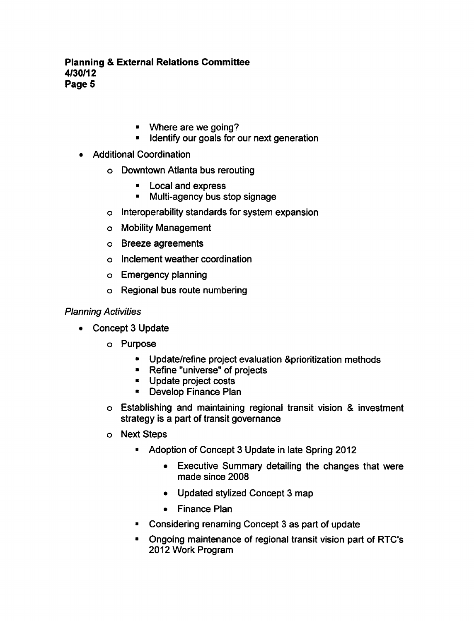- Where are we going?
- **IDENTIFY OUT GOALS for our next generation**
- Additional Coordination
	- Downtown Atlanta bus rerouting
		- **EXPLOCAL AND EXPRESS**
		- $\blacksquare$ Multi-agency bus stop signage
	- Interoperability standards for system expansion
	- Mobility Management
	- Breeze agreements
	- Inclement weather coordination
	- Emergency planning
	- Regional bus route numbering

### Planning Activities

- Concept 3 Update
	- o Purpose
		- Update/refine project evaluation Sprioritization methods  $\bullet$
		- Refine "universe" of projects
		- Update project costs
		- Develop Finance Plan
	- $\circ$  Establishing and maintaining regional transit vision & investment strategy is a part of transit governance
	- Next Steps
		- Adoption of Concept 3 Update in late Spring 2012
			- Executive Summary detailing the changes that were  $\bullet$ made since 2008
			- Updated stylized Concept 3 map  $\bullet$
			- Finance Plan
		- Considering renaming Concept 3 as part of update  $\blacksquare$
		- Ongoing maintenance of regional transit vision part of RTC's 2012 Work Program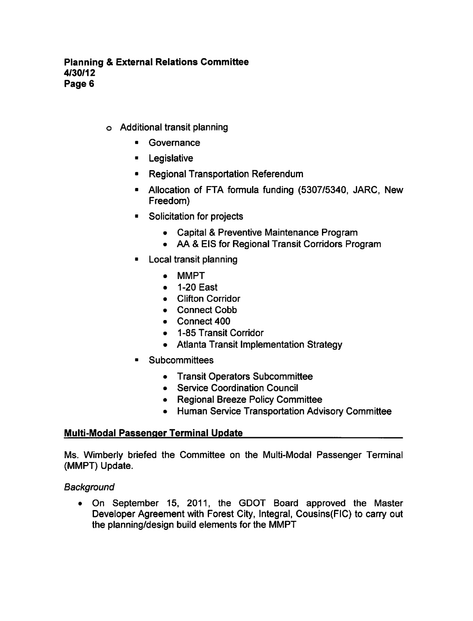- Additional transit planning
	- Governance
	- $\blacksquare$ Legislative
	- **Regional Transportation Referendum**
	- Allocation of FTA formula funding (5307/5340, JARC, New Freedom)
	- **Solicitation for projects** 
		- Capital & Preventive Maintenance Program
		- AA EIS for Regional Transit Corridors Program
	- $\blacksquare$ Local transit planning
		- MMPT
		- 1-20 East  $\bullet$
		- Clifton Corridor
		- Connect Cobb
		- Connect 400
		- 1-85 Transit Corridor
		- Atlanta Transit Implementation Strategy
	- **Subcommittees**  $\blacksquare$ 
		- Transit Operators Subcommittee
		- Service Coordination Council
		- Regional Breeze Policy Committee
		- Human Service Transportation Advisory Committee

### Multi-Modal Passenger Terminal Update

Ms. Wimberly briefed the Committee on the Multi-Modal Passenger Terminal (MMPT) Update.

**Background** 

On September 15, 2011, the GDOT Board approved the Master  $\bullet$ Developer Agreement with Forest City, Integral, Cousins(FIC) to carry out the planning/design build elements for the MMPT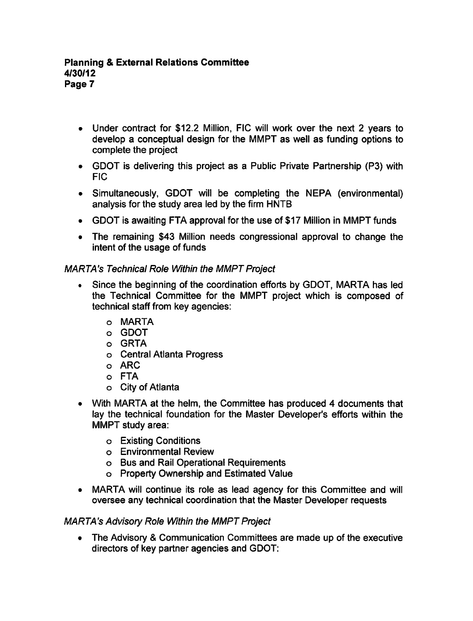- Under contract for \$12.2 Million, FIC will work over the next 2 years to develop a conceptual design for the MMPT as well as funding options to complete the project
- GDOT is delivering this project as Public Private Partnership (P3) with FIC
- Simultaneously, GDOT will be completing the NEPA (environmental)  $\bullet$ analysis for the study area led by the firm HNTB
- GDOT is awaiting FTA approval for the use of \$17 Million in MMPT funds
- The remaining \$43 Million needs congressional approval to change the intent of the usage of funds

# MARTA's Technical Role Within the MMPT Project

- Since the beginning of the coordination efforts by GDOT, MARTA has led  $\bullet$ the Technical Committee for the MMPT project which is composed of technical staff from key agencies:
	- MARTA
	- GDOT
	- o GRTA
	- Central Atlanta Progress
	- o ARC
	- FTA
	- City of Atlanta
- With MARTA at the helm, the Committee has produced 4 documents that lay the technical foundation for the Master Developer's efforts within the MMPT study area:
	- Existing Conditions
	- Environmental Review
	- Bus and Rail Operational Requirements
	- Property Ownership and Estimated Value
- MARTA will continue its role as lead agency for this Committee and will oversee any technical coordination that the Master Developer requests

# MARTA's Advisory Role Within the MMPT Project

• The Advisory & Communication Committees are made up of the executive directors of key partner agencies and GDOT: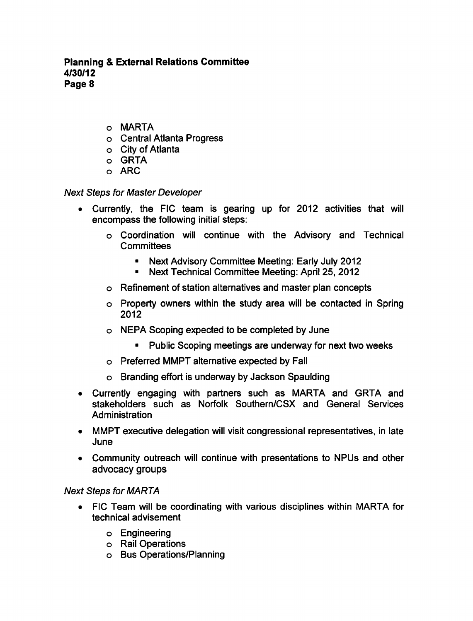Planning External Relations Committee 4/30/12 Page 8

- MARTA
- Central Atlanta Progress
- City of Atlanta
- o GRTA
- o ARC

### Next Steps for Master Developer

- Currently, the FIC team is gearing up for 2012 activities that will encompass the following initial steps:
	- Coordination will continue with the Advisory and Technical **Committees** 
		- Next Advisory Committee Meeting: Early July 2012
		- Next Technical Committee Meeting: April 25, 2012  $\bullet$  .
	- Refinement of station alternatives and master plan concepts
	- Property owners within the study area will be contacted in Spring 2012
	- NEPA Scoping expected to be completed by June
		- Public Scoping meetings are underway for next two weeks
	- Preferred MMPT alternative expected by Fall
	- Branding effort is underway by Jackson Spaulding
- Currently engaging with partners such as MARTA and GRTA and stakeholders such as Norfolk Southern/CSX and General Services Administration
- MMPT executive delegation will visit congressional representatives, in late June
- Community outreach will continue with presentations to NPUs and other advocacy groups

### Next Steps for MARTA

- FIC Team will be coordinating with various disciplines within MARTA for technical advisement
	- Engineering
	- Rail Operations
	- Bus Operations/Planning